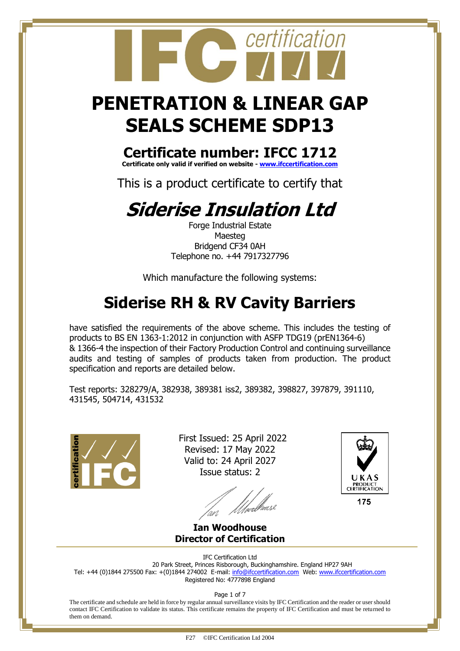### **PENETRATION & LINEAR GAP SEALS SCHEME SDP13**

certification

#### **Certificate number: IFCC 1712**

**Certificate only valid if verified on website - [www.ifccertification.com](http://www.ifccertification.com/)**

This is a product certificate to certify that

### **Siderise Insulation Ltd**

Forge Industrial Estate Maesteg Bridgend CF34 0AH Telephone no. +44 7917327796

Which manufacture the following systems:

### **Siderise RH & RV Cavity Barriers**

have satisfied the requirements of the above scheme. This includes the testing of products to BS EN 1363-1:2012 in conjunction with ASFP TDG19 (prEN1364-6) & 1366-4 the inspection of their Factory Production Control and continuing surveillance audits and testing of samples of products taken from production. The product specification and reports are detailed below.

Test reports: 328279/A, 382938, 389381 iss2, 389382, 398827, 397879, 391110, 431545, 504714, 431532



 First Issued: 25 April 2022 Revised: 17 May 2022 Valid to: 24 April 2027 Issue status: 2

*Ulve*rb<sup>leuse</sup>



175

**Ian Woodhouse Director of Certification**

IFC Certification Ltd

20 Park Street, Princes Risborough, Buckinghamshire. England HP27 9AH Tel: +44 (0)1844 275500 Fax: +(0)1844 274002 E-mail[: info@ifccertification.com](mailto:info@ifccertification.com) Web: [www.ifccertification.com](http://www.ifccertification.com/) Registered No: 4777898 England

Page 1 of 7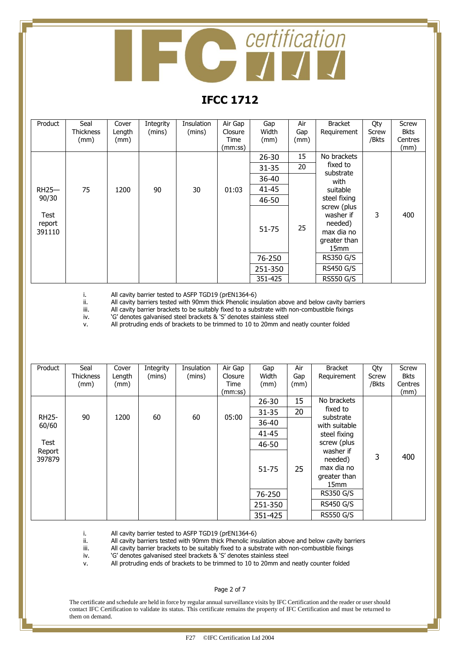# **Contification**

#### **IFCC 1712**

| Product                  | Seal<br><b>Thickness</b><br>(mm) | Cover<br>Length<br>(mm) | Integrity<br>(mins) | Insulation<br>(mins) | Air Gap<br>Closure<br>Time<br>(mm:ss) | Gap<br>Width<br>(mm) | Air<br>Gap<br>(mm) | <b>Bracket</b><br>Requirement                                                         | Qty<br>Screw<br>/Bkts | Screw<br><b>Bkts</b><br>Centres<br>(mm) |
|--------------------------|----------------------------------|-------------------------|---------------------|----------------------|---------------------------------------|----------------------|--------------------|---------------------------------------------------------------------------------------|-----------------------|-----------------------------------------|
|                          |                                  |                         |                     |                      |                                       | $26 - 30$            | 15                 | No brackets                                                                           |                       |                                         |
|                          |                                  |                         |                     |                      |                                       | $31 - 35$            | 20                 | fixed to<br>substrate                                                                 |                       |                                         |
|                          |                                  |                         |                     |                      |                                       | 36-40                |                    | with                                                                                  |                       |                                         |
| $RH25-$                  | 75                               | 1200                    | 90                  | 30                   | 01:03                                 | 41-45                |                    | suitable                                                                              |                       |                                         |
| 90/30                    |                                  |                         |                     |                      |                                       | 46-50                |                    | steel fixing                                                                          |                       |                                         |
| Test<br>report<br>391110 |                                  |                         |                     |                      |                                       | 51-75                | 25                 | screw (plus<br>washer if<br>needed)<br>max dia no<br>greater than<br>15 <sub>mm</sub> | 3                     | 400                                     |
|                          |                                  |                         |                     |                      |                                       | 76-250               |                    | <b>RS350 G/S</b>                                                                      |                       |                                         |
|                          |                                  |                         |                     |                      |                                       | 251-350              |                    | <b>RS450 G/S</b>                                                                      |                       |                                         |
|                          |                                  |                         |                     |                      |                                       | 351-425              |                    | <b>RS550 G/S</b>                                                                      |                       |                                         |

i. All cavity barrier tested to ASFP TGD19 (prEN1364-6)<br>ii. All cavity barriers tested with 90mm thick Phenolic ins

ii. All cavity barriers tested with 90mm thick Phenolic insulation above and below cavity barriers<br>iii. All cavity barrier brackets to be suitably fixed to a substrate with non-combustible fixings

iii. All cavity barrier brackets to be suitably fixed to a substrate with non-combustible fixings iv.  $^{\circ}$  'G' denotes galvanised steel brackets & 'S' denotes stainless steel

'G' denotes galvanised steel brackets & 'S' denotes stainless steel

v. All protruding ends of brackets to be trimmed to 10 to 20mm and neatly counter folded

| Product          | Seal<br><b>Thickness</b><br>(mm) | Cover<br>Length<br>(mm) | Integrity<br>(mins) | Insulation<br>(mins) | Air Gap<br>Closure<br>Time<br>(mm:ss) | Gap<br>Width<br>(mm) | Air<br>Gap<br>(mm) | <b>Bracket</b><br>Requirement                                          | Qty<br>Screw<br>/Bkts | Screw<br><b>Bkts</b><br>Centres<br>(mm) |
|------------------|----------------------------------|-------------------------|---------------------|----------------------|---------------------------------------|----------------------|--------------------|------------------------------------------------------------------------|-----------------------|-----------------------------------------|
|                  |                                  |                         |                     |                      |                                       | $26 - 30$            | 15                 | No brackets                                                            |                       |                                         |
| <b>RH25-</b>     | 90                               | 1200                    |                     | 60                   | 05:00                                 | $31 - 35$            | 20                 | fixed to                                                               |                       |                                         |
| 60/60            |                                  |                         | 60                  |                      |                                       | 36-40                |                    | substrate<br>with suitable                                             |                       |                                         |
|                  |                                  |                         |                     |                      |                                       | 41-45                |                    | steel fixing                                                           |                       |                                         |
| Test             |                                  |                         |                     |                      |                                       | 46-50                |                    | screw (plus                                                            |                       |                                         |
| Report<br>397879 |                                  |                         |                     |                      |                                       | 51-75                | 25                 | washer if<br>needed)<br>max dia no<br>greater than<br>15 <sub>mm</sub> | 3                     | 400                                     |
|                  |                                  |                         |                     |                      |                                       | 76-250               |                    | <b>RS350 G/S</b>                                                       |                       |                                         |
|                  |                                  |                         |                     |                      |                                       | 251-350              |                    | <b>RS450 G/S</b>                                                       |                       |                                         |
|                  |                                  |                         |                     |                      |                                       | 351-425              |                    | <b>RS550 G/S</b>                                                       |                       |                                         |

i. All cavity barrier tested to ASFP TGD19 (prEN1364-6)<br>ii. All cavity barriers tested with 90mm thick Phenolic ins

All cavity barriers tested with 90mm thick Phenolic insulation above and below cavity barriers

iii. All cavity barrier brackets to be suitably fixed to a substrate with non-combustible fixings

iv. 'G' denotes galvanised steel brackets & 'S' denotes stainless steel

v. All protruding ends of brackets to be trimmed to 10 to 20mm and neatly counter folded

#### Page 2 of 7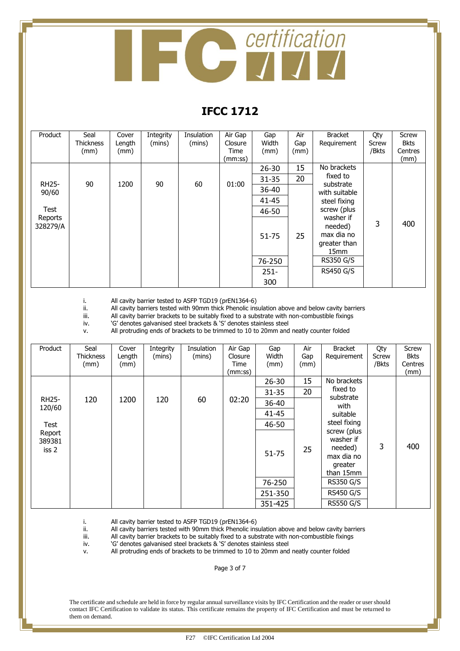

#### **IFCC 1712**

| Product             | Seal<br><b>Thickness</b> | Cover<br>Length | Integrity<br>(mins) | Insulation<br>(mins) | Air Gap<br>Closure | Gap<br>Width | Air<br>Gap | <b>Bracket</b><br>Requirement                                          | Qty<br>Screw | <b>Screw</b><br><b>Bkts</b> |
|---------------------|--------------------------|-----------------|---------------------|----------------------|--------------------|--------------|------------|------------------------------------------------------------------------|--------------|-----------------------------|
|                     | (mm)                     | (mm)            |                     |                      | Time               | (mm)         | (mm)       |                                                                        | /Bkts        | Centres                     |
|                     |                          |                 |                     |                      | (mm:ss)            |              |            | No brackets                                                            |              | (mm)                        |
|                     |                          |                 |                     |                      |                    | 26-30        | 15         | fixed to                                                               |              |                             |
| <b>RH25-</b>        | 90                       | 1200            | 90                  | 60                   | 01:00              | $31 - 35$    | 20         | substrate                                                              |              |                             |
| 90/60               |                          |                 |                     |                      |                    | 36-40        |            | with suitable                                                          |              |                             |
|                     |                          |                 |                     |                      |                    | 41-45        |            | steel fixing                                                           |              |                             |
| Test                |                          |                 |                     |                      |                    | 46-50        |            | screw (plus                                                            |              |                             |
| Reports<br>328279/A |                          |                 |                     |                      |                    | 51-75        | 25         | washer if<br>needed)<br>max dia no<br>greater than<br>15 <sub>mm</sub> | 3            | 400                         |
|                     |                          |                 |                     |                      |                    | 76-250       |            | <b>RS350 G/S</b>                                                       |              |                             |
|                     |                          |                 |                     |                      |                    | $251 -$      |            | <b>RS450 G/S</b>                                                       |              |                             |
|                     |                          |                 |                     |                      |                    | 300          |            |                                                                        |              |                             |

i. All cavity barrier tested to ASFP TGD19 (prEN1364-6) ii. All cavity barriers tested with 90mm thick Phenolic ins

ii. All cavity barriers tested with 90mm thick Phenolic insulation above and below cavity barriers<br>iii. All cavity barrier brackets to be suitably fixed to a substrate with non-combustible fixings

All cavity barrier brackets to be suitably fixed to a substrate with non-combustible fixings

iv. 'G' denotes galvanised steel brackets & 'S' denotes stainless steel

v. All protruding ends of brackets to be trimmed to 10 to 20mm and neatly counter folded

| Product                   | Seal<br><b>Thickness</b><br>(mm) | Cover<br>Length<br>(mm) | Integrity<br>(mins) | Insulation<br>(mins) | Air Gap<br>Closure<br>Time<br>(mm:ss) | Gap<br>Width<br>(mm) | Air<br>Gap<br>(mm) | <b>Bracket</b><br>Requirement                                             | Qty<br>Screw<br>/Bkts | Screw<br><b>Bkts</b><br>Centres<br>(mm) |
|---------------------------|----------------------------------|-------------------------|---------------------|----------------------|---------------------------------------|----------------------|--------------------|---------------------------------------------------------------------------|-----------------------|-----------------------------------------|
|                           |                                  |                         |                     |                      |                                       | $26 - 30$            | 15                 | No brackets                                                               |                       |                                         |
|                           |                                  |                         |                     |                      |                                       | 31-35                | 20                 | fixed to<br>substrate                                                     |                       |                                         |
| <b>RH25-</b><br>120/60    | 120                              | 1200                    | 120                 | 60                   | 02:20                                 | 36-40                |                    | with                                                                      |                       |                                         |
|                           |                                  |                         |                     |                      |                                       | 41-45                |                    | suitable                                                                  |                       |                                         |
| Test                      |                                  |                         |                     |                      |                                       | 46-50                |                    | steel fixing                                                              |                       |                                         |
| Report<br>389381<br>iss 2 |                                  |                         |                     |                      |                                       | $51 - 75$            | 25                 | screw (plus<br>washer if<br>needed)<br>max dia no<br>greater<br>than 15mm | 3                     | 400                                     |
|                           |                                  |                         |                     |                      |                                       | 76-250               |                    | <b>RS350 G/S</b>                                                          |                       |                                         |
|                           |                                  |                         |                     |                      |                                       | 251-350              |                    | <b>RS450 G/S</b>                                                          |                       |                                         |
|                           |                                  |                         |                     |                      |                                       | 351-425              |                    | <b>RS550 G/S</b>                                                          |                       |                                         |

i. All cavity barrier tested to ASFP TGD19 (prEN1364-6)<br>ii. All cavity barriers tested with 90mm thick Phenolic ins ii. All cavity barriers tested with 90mm thick Phenolic insulation above and below cavity barriers<br>iii. All cavity barrier brackets to be suitably fixed to a substrate with non-combustible fixings

iii. All cavity barrier brackets to be suitably fixed to a substrate with non-combustible fixings iv.  $\degree$  'G' denotes galvanised steel brackets & 'S' denotes stainless steel

'G' denotes galvanised steel brackets & 'S' denotes stainless steel

v. All protruding ends of brackets to be trimmed to 10 to 20mm and neatly counter folded

Page 3 of 7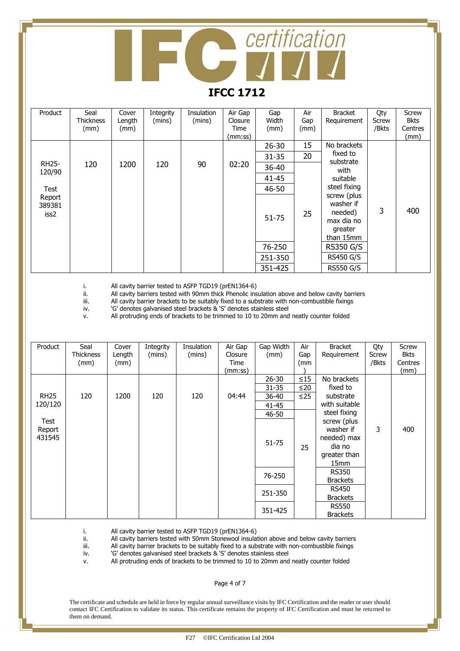## certification  $\int \int \int$

#### **IFCC 1712**

| Product                  | Seal<br><b>Thickness</b><br>(mm) | Cover<br>Length<br>(mm) | Integrity<br>(mins) | Insulation<br>(mins) | Air Gap<br>Closure<br>Time<br>(mm:ss) | Gap<br>Width<br>(mm) | Air<br>Gap<br>(mm) | <b>Bracket</b><br>Requirement                                             | Qty<br>Screw<br>/Bkts | Screw<br><b>Bkts</b><br>Centres<br>(mm) |
|--------------------------|----------------------------------|-------------------------|---------------------|----------------------|---------------------------------------|----------------------|--------------------|---------------------------------------------------------------------------|-----------------------|-----------------------------------------|
|                          |                                  |                         |                     |                      |                                       | 26-30                | 15                 | No brackets                                                               |                       |                                         |
|                          |                                  |                         |                     |                      |                                       | $31 - 35$            | 20                 | fixed to<br>substrate                                                     |                       |                                         |
| <b>RH25-</b><br>120/90   | 120                              | 1200                    | 120                 | 90                   | 02:20                                 | 36-40                |                    | with                                                                      |                       |                                         |
|                          |                                  |                         |                     |                      |                                       | $41 - 45$            |                    | suitable                                                                  |                       |                                         |
| Test                     |                                  |                         |                     |                      |                                       | 46-50                |                    | steel fixing                                                              |                       |                                         |
| Report<br>389381<br>iss2 |                                  |                         |                     |                      |                                       | $51 - 75$            | 25                 | screw (plus<br>washer if<br>needed)<br>max dia no<br>greater<br>than 15mm | 3                     | 400                                     |
|                          |                                  |                         |                     |                      |                                       | 76-250               |                    | <b>RS350 G/S</b>                                                          |                       |                                         |
|                          |                                  |                         |                     |                      |                                       | 251-350              |                    | <b>RS450 G/S</b>                                                          |                       |                                         |
|                          |                                  |                         |                     |                      |                                       | 351-425              |                    | <b>RS550 G/S</b>                                                          |                       |                                         |

i. All cavity barrier tested to ASFP TGD19 (prEN1364-6) ii. All cavity barriers tested with 90mm thick Phenolic ins ii. All cavity barriers tested with 90mm thick Phenolic insulation above and below cavity barriers<br>iii. All cavity barrier brackets to be suitably fixed to a substrate with non-combustible fixings

iii. All cavity barrier brackets to be suitably fixed to a substrate with non-combustible fixings

iv. 'G' denotes galvanised steel brackets & 'S' denotes stainless steel

v. All protruding ends of brackets to be trimmed to 10 to 20mm and neatly counter folded

| Product                  | Seal<br><b>Thickness</b><br>(mm) | Cover<br>Length<br>(mm) | Integrity<br>(mins) | <b>Insulation</b><br>(mins) | Air Gap<br>Closure<br>Time<br>(mm:ss) | Gap Width<br>(mm)                            | Air<br>Gap<br>(mm             | <b>Bracket</b><br>Requirement                                                             | Qty<br>Screw<br>/Bkts | Screw<br>Bkts<br>Centres<br>(mm) |
|--------------------------|----------------------------------|-------------------------|---------------------|-----------------------------|---------------------------------------|----------------------------------------------|-------------------------------|-------------------------------------------------------------------------------------------|-----------------------|----------------------------------|
| <b>RH25</b><br>120/120   | 120                              | 1200                    | 120                 | 120                         | 04:44                                 | $26 - 30$<br>$31 - 35$<br>$36 - 40$<br>41-45 | $\leq$ 15<br>≤20<br>$\leq$ 25 | No brackets<br>fixed to<br>substrate<br>with suitable                                     |                       |                                  |
| Test<br>Report<br>431545 |                                  |                         |                     |                             |                                       | 46-50<br>51-75                               | 25                            | steel fixing<br>screw (plus<br>washer if<br>needed) max<br>dia no<br>greater than<br>15mm | 3                     | 400                              |
|                          |                                  |                         |                     |                             |                                       | 76-250                                       |                               | <b>RS350</b><br><b>Brackets</b>                                                           |                       |                                  |
|                          |                                  |                         |                     |                             |                                       | 251-350                                      |                               | RS450<br><b>Brackets</b>                                                                  |                       |                                  |
|                          |                                  |                         |                     |                             |                                       | 351-425                                      |                               | <b>RS550</b><br><b>Brackets</b>                                                           |                       |                                  |

i. All cavity barrier tested to ASFP TGD19 (prEN1364-6)<br>ii. All cavity barriers tested with 50mm Stonewool insula

ii. All cavity barriers tested with 50mm Stonewool insulation above and below cavity barriers<br>iii. All cavity barrier brackets to be suitably fixed to a substrate with non-combustible fixings

iii. All cavity barrier brackets to be suitably fixed to a substrate with non-combustible fixings iv.  $^{\circ}$  'G' denotes galvanised steel brackets & 'S' denotes stainless steel

'G' denotes galvanised steel brackets & 'S' denotes stainless steel

v. All protruding ends of brackets to be trimmed to 10 to 20mm and neatly counter folded

Page 4 of 7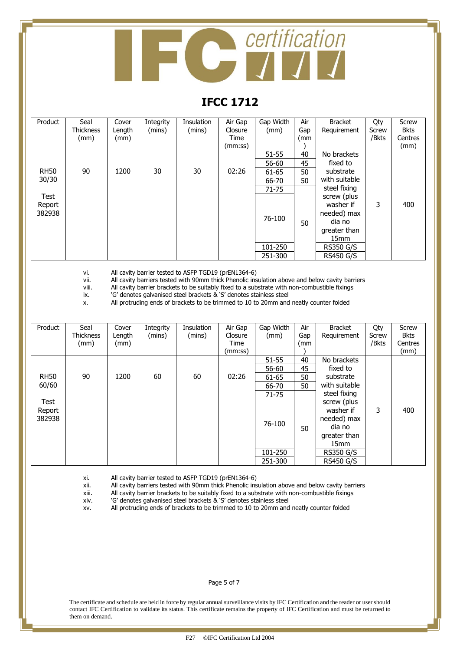# **Conduction**

#### **IFCC 1712**

| Product     | Seal             | Cover  | Integrity | Insulation | Air Gap | Gap Width | Air | <b>Bracket</b>   | Qty   | Screw       |
|-------------|------------------|--------|-----------|------------|---------|-----------|-----|------------------|-------|-------------|
|             | <b>Thickness</b> | Length | (mins)    | (mins)     | Closure | (mm)      | Gap | Requirement      | Screw | <b>Bkts</b> |
|             | (mm)             | (mm)   |           |            | Time    |           | (mm |                  | /Bkts | Centres     |
|             |                  |        |           |            | (mm:ss) |           |     |                  |       | (mm)        |
|             |                  |        |           |            |         | $51 - 55$ | 40  | No brackets      |       |             |
|             |                  |        |           |            |         | 56-60     | 45  | fixed to         |       |             |
| <b>RH50</b> | 90               | 1200   | 30        | 30         | 02:26   | 61-65     | 50  | substrate        |       |             |
| 30/30       |                  |        |           |            |         | 66-70     | 50  | with suitable    |       |             |
|             |                  |        |           |            |         | $71 - 75$ |     | steel fixing     |       |             |
| Test        |                  |        |           |            |         |           |     | screw (plus      |       |             |
| Report      |                  |        |           |            |         |           |     | washer if        | 3     | 400         |
| 382938      |                  |        |           |            |         | 76-100    |     | needed) max      |       |             |
|             |                  |        |           |            |         |           | 50  | dia no           |       |             |
|             |                  |        |           |            |         |           |     | greater than     |       |             |
|             |                  |        |           |            |         |           |     | 15 <sub>mm</sub> |       |             |
|             |                  |        |           |            |         | 101-250   |     | <b>RS350 G/S</b> |       |             |
|             |                  |        |           |            |         | 251-300   |     | <b>RS450 G/S</b> |       |             |

vi. All cavity barrier tested to ASFP TGD19 (prEN1364-6)<br>vii. All cavity barriers tested with 90mm thick Phenolic ins

vii. All cavity barriers tested with 90mm thick Phenolic insulation above and below cavity barriers<br>
viii. All cavity barrier brackets to be suitably fixed to a substrate with non-combustible fixings

viii. All cavity barrier brackets to be suitably fixed to a substrate with non-combustible fixings ix.  $\degree$  'G' denotes galvanised steel brackets & 'S' denotes stainless steel

'G' denotes galvanised steel brackets & 'S' denotes stainless steel

x. All protruding ends of brackets to be trimmed to 10 to 20mm and neatly counter folded

| Product     | Seal             | Cover  | Integrity | Insulation | Air Gap | Gap Width | Air | <b>Bracket</b>   | Qty   | Screw       |
|-------------|------------------|--------|-----------|------------|---------|-----------|-----|------------------|-------|-------------|
|             | <b>Thickness</b> | Length | (mins)    | (mins)     | Closure | (mm)      | Gap | Requirement      | Screw | <b>Bkts</b> |
|             | (mm)             | (mm)   |           |            | Time    |           | (mm |                  | /Bkts | Centres     |
|             |                  |        |           |            | (mm:ss) |           |     |                  |       | (mm)        |
|             |                  |        |           |            |         | 51-55     | 40  | No brackets      |       |             |
|             |                  |        |           |            |         | 56-60     | 45  | fixed to         |       |             |
| <b>RH50</b> | 90               | 1200   | 60        | 60         | 02:26   | 61-65     | 50  | substrate        |       |             |
| 60/60       |                  |        |           |            |         | 66-70     | 50  | with suitable    |       |             |
|             |                  |        |           |            |         | $71 - 75$ |     | steel fixing     |       |             |
| Test        |                  |        |           |            |         |           |     | screw (plus      |       |             |
| Report      |                  |        |           |            |         |           |     | washer if        | 3     | 400         |
| 382938      |                  |        |           |            |         |           |     | needed) max      |       |             |
|             |                  |        |           |            |         | 76-100    | 50  | dia no           |       |             |
|             |                  |        |           |            |         |           |     | greater than     |       |             |
|             |                  |        |           |            |         |           |     | 15 <sub>mm</sub> |       |             |
|             |                  |        |           |            |         | 101-250   |     | <b>RS350 G/S</b> |       |             |
|             |                  |        |           |            |         | 251-300   |     | <b>RS450 G/S</b> |       |             |

xi. All cavity barrier tested to ASFP TGD19 (prEN1364-6)

All cavity barriers tested with 90mm thick Phenolic insulation above and below cavity barriers

xiii. All cavity barrier brackets to be suitably fixed to a substrate with non-combustible fixings  $xiv.$  'G' denotes galvanised steel brackets & 'S' denotes stainless steel

'G' denotes galvanised steel brackets & 'S' denotes stainless steel

xv. All protruding ends of brackets to be trimmed to 10 to 20mm and neatly counter folded

#### Page 5 of 7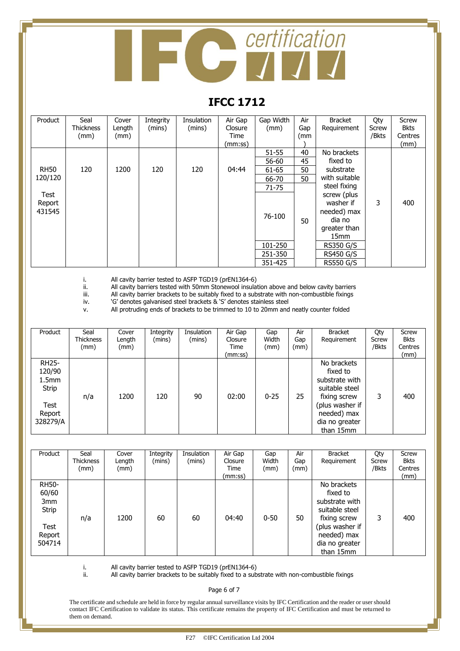# **Contification**

#### **IFCC 1712**

| Product     | Seal<br><b>Thickness</b> | Cover<br>Length | Integrity<br>(mins) | <b>Insulation</b><br>(mins) | Air Gap<br>Closure | Gap Width<br>(mm) | Air<br>Gap | <b>Bracket</b><br>Requirement | Qty<br>Screw | Screw<br><b>Bkts</b> |
|-------------|--------------------------|-----------------|---------------------|-----------------------------|--------------------|-------------------|------------|-------------------------------|--------------|----------------------|
|             | (mm)                     | (mm)            |                     |                             | Time               |                   | (mm        |                               | /Bkts        | Centres              |
|             |                          |                 |                     |                             | (mm:ss)            |                   |            |                               |              | (mm)                 |
|             |                          |                 |                     |                             |                    | $51 - 55$         | 40         | No brackets                   |              |                      |
|             |                          |                 |                     |                             |                    | 56-60             | 45         | fixed to                      |              |                      |
| <b>RH50</b> | 120                      | 1200            | 120                 | 120                         | 04:44              | 61-65             | 50         | substrate                     |              |                      |
| 120/120     |                          |                 |                     |                             |                    | 66-70             | 50         | with suitable                 |              |                      |
|             |                          |                 |                     |                             |                    | $71 - 75$         |            | steel fixing                  |              |                      |
| Test        |                          |                 |                     |                             |                    |                   |            | screw (plus                   |              |                      |
| Report      |                          |                 |                     |                             |                    |                   |            | washer if                     | 3            | 400                  |
| 431545      |                          |                 |                     |                             |                    | 76-100            |            | needed) max                   |              |                      |
|             |                          |                 |                     |                             |                    |                   | 50         | dia no                        |              |                      |
|             |                          |                 |                     |                             |                    |                   |            | greater than                  |              |                      |
|             |                          |                 |                     |                             |                    |                   |            | 15 <sub>mm</sub>              |              |                      |
|             |                          |                 |                     |                             |                    | 101-250           |            | <b>RS350 G/S</b>              |              |                      |
|             |                          |                 |                     |                             |                    | 251-350           |            | <b>RS450 G/S</b>              |              |                      |
|             |                          |                 |                     |                             |                    | 351-425           |            | <b>RS550 G/S</b>              |              |                      |

i. All cavity barrier tested to ASFP TGD19 (prEN1364-6)<br>ii. All cavity barriers tested with 50mm Stonewool insula

ii. All cavity barriers tested with 50mm Stonewool insulation above and below cavity barriers<br>iii. All cavity barrier brackets to be suitably fixed to a substrate with non-combustible fixings

iii. All cavity barrier brackets to be suitably fixed to a substrate with non-combustible fixings iv.  $^{\circ}$  'G' denotes galvanised steel brackets & 'S' denotes stainless steel

'G' denotes galvanised steel brackets & 'S' denotes stainless steel

v. All protruding ends of brackets to be trimmed to 10 to 20mm and neatly counter folded

| Product                                                                            | Seal<br><b>Thickness</b><br>(mm) | Cover<br>Length<br>(mm) | Integrity<br>(mins) | Insulation<br>(mins) | Air Gap<br>Closure<br>Time<br>(mm:ss) | Gap<br>Width<br>(mm) | Air<br>Gap<br>(mm) | <b>Bracket</b><br>Requirement                                                                                                                | Qty<br>Screw<br>/Bkts | Screw<br><b>Bkts</b><br>Centres<br>(mm) |
|------------------------------------------------------------------------------------|----------------------------------|-------------------------|---------------------|----------------------|---------------------------------------|----------------------|--------------------|----------------------------------------------------------------------------------------------------------------------------------------------|-----------------------|-----------------------------------------|
| <b>RH25-</b><br>120/90<br>1.5 <sub>mm</sub><br>Strip<br>Test<br>Report<br>328279/A | n/a                              | 1200                    | 120                 | 90                   | 02:00                                 | $0 - 25$             | 25                 | No brackets<br>fixed to<br>substrate with<br>suitable steel<br>fixing screw<br>(plus washer if<br>needed) max<br>dia no greater<br>than 15mm | 3                     | 400                                     |

| Product                                                           | Seal<br><b>Thickness</b><br>(mm) | Cover<br>Length<br>(mm) | Integrity<br>(mins) | Insulation<br>(mins) | Air Gap<br>Closure<br>Time<br>(mm:ss) | Gap<br>Width<br>(mm) | Air<br>Gap<br>(mm) | <b>Bracket</b><br>Requirement                                                                                                                | Qty<br>Screw<br>/Bkts | Screw<br><b>Bkts</b><br>Centres<br>(mm) |
|-------------------------------------------------------------------|----------------------------------|-------------------------|---------------------|----------------------|---------------------------------------|----------------------|--------------------|----------------------------------------------------------------------------------------------------------------------------------------------|-----------------------|-----------------------------------------|
| <b>RH50-</b><br>60/60<br>3mm<br>Strip<br>Test<br>Report<br>504714 | n/a                              | 1200                    | 60                  | 60                   | 04:40                                 | $0 - 50$             | 50                 | No brackets<br>fixed to<br>substrate with<br>suitable steel<br>fixing screw<br>(plus washer if<br>needed) max<br>dia no greater<br>than 15mm | 3                     | 400                                     |

i. All cavity barrier tested to ASFP TGD19 (prEN1364-6)

ii. All cavity barrier brackets to be suitably fixed to a substrate with non-combustible fixings

Page 6 of 7